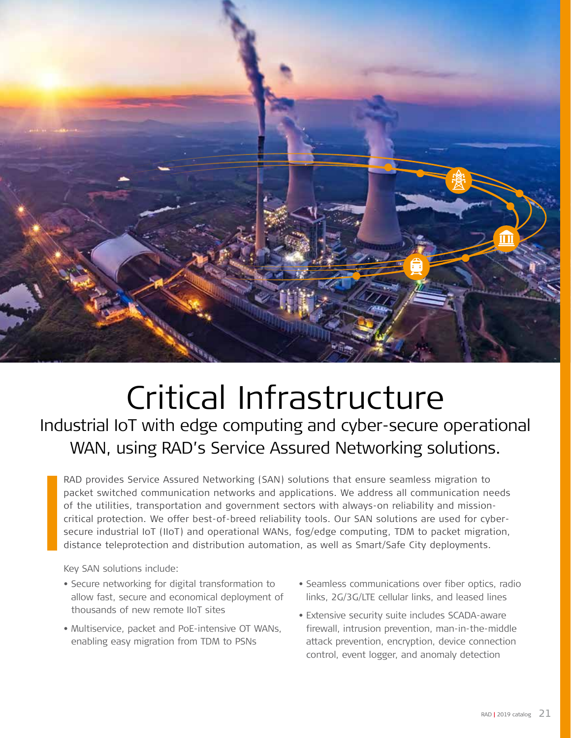

## Critical Infrastructure Industrial IoT with edge computing and cyber-secure operational WAN, using RAD's Service Assured Networking solutions.

RAD provides Service Assured Networking (SAN) solutions that ensure seamless migration to packet switched communication networks and applications. We address all communication needs of the utilities, transportation and government sectors with always-on reliability and missioncritical protection. We offer best-of-breed reliability tools. Our SAN solutions are used for cybersecure industrial IoT (IIoT) and operational WANs, fog/edge computing, TDM to packet migration, distance teleprotection and distribution automation, as well as Smart/Safe City deployments.

Key SAN solutions include:

- Secure networking for digital transformation to allow fast, secure and economical deployment of thousands of new remote IIoT sites
- Multiservice, packet and PoE-intensive OT WANs, enabling easy migration from TDM to PSNs
- Seamless communications over fiber optics, radio links, 2G/3G/LTE cellular links, and leased lines
- Extensive security suite includes SCADA-aware firewall, intrusion prevention, man-in-the-middle attack prevention, encryption, device connection control, event logger, and anomaly detection